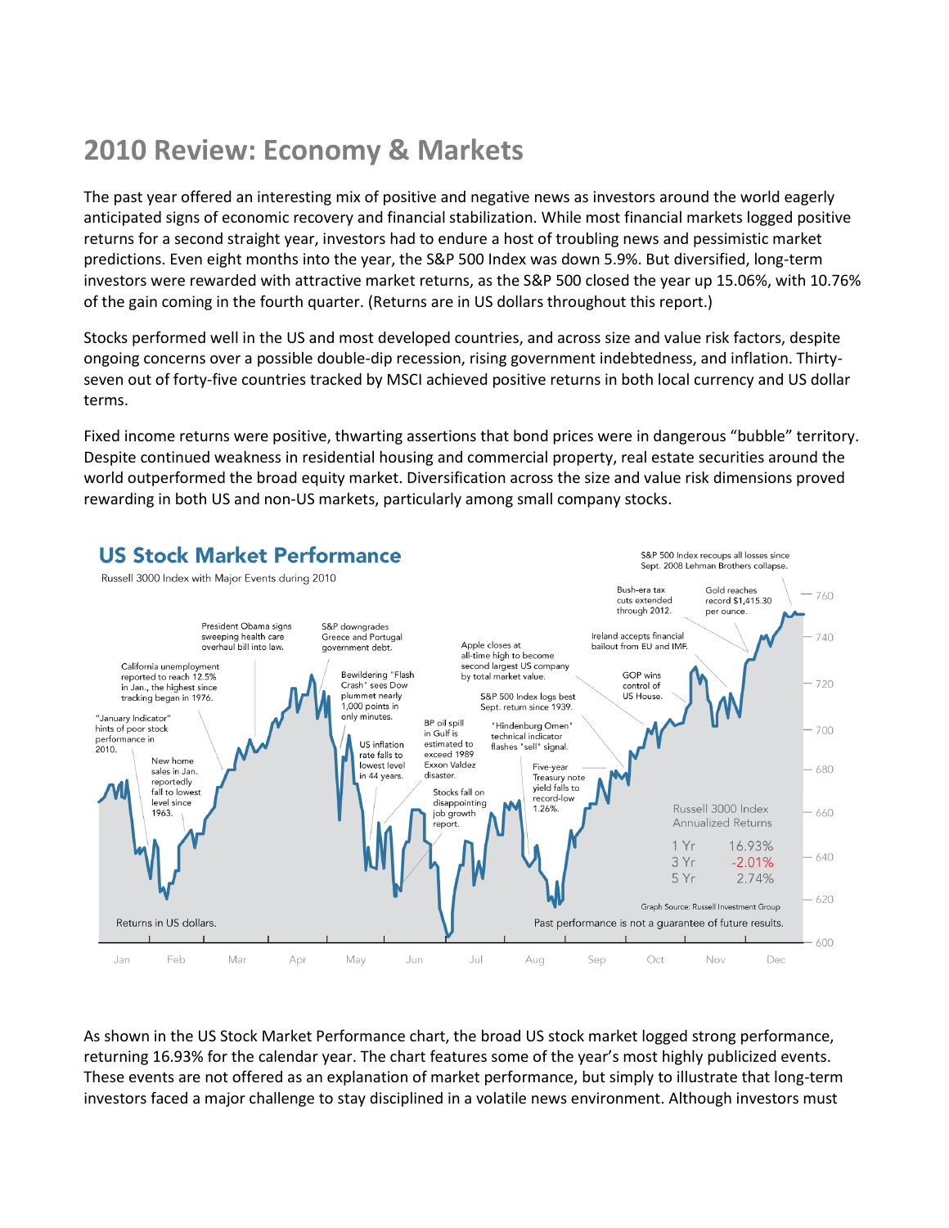# **2010 Review: Economy & Markets**

The past year offered an interesting mix of positive and negative news as investors around the world eagerly anticipated signs of economic recovery and financial stabilization. While most financial markets logged positive returns for a second straight year, investors had to endure a host of troubling news and pessimistic market predictions. Even eight months into the year, the S&P 500 Index was down 5.9%. But diversified, long-term investors were rewarded with attractive market returns, as the S&P 500 closed the year up 15.06%, with 10.76% of the gain coming in the fourth quarter. (Returns are in US dollars throughout this report.)

Stocks performed well in the US and most developed countries, and across size and value risk factors, despite ongoing concerns over a possible double-dip recession, rising government indebtedness, and inflation. Thirtyseven out of forty-five countries tracked by MSCI achieved positive returns in both local currency and US dollar terms.

Fixed income returns were positive, thwarting assertions that bond prices were in dangerous "bubble" territory. Despite continued weakness in residential housing and commercial property, real estate securities around the world outperformed the broad equity market. Diversification across the size and value risk dimensions proved rewarding in both US and non-US markets, particularly among small company stocks.



As shown in the US Stock Market Performance chart, the broad US stock market logged strong performance, returning 16.93% for the calendar year. The chart features some of the year's most highly publicized events. These events are not offered as an explanation of market performance, but simply to illustrate that long-term investors faced a major challenge to stay disciplined in a volatile news environment. Although investors must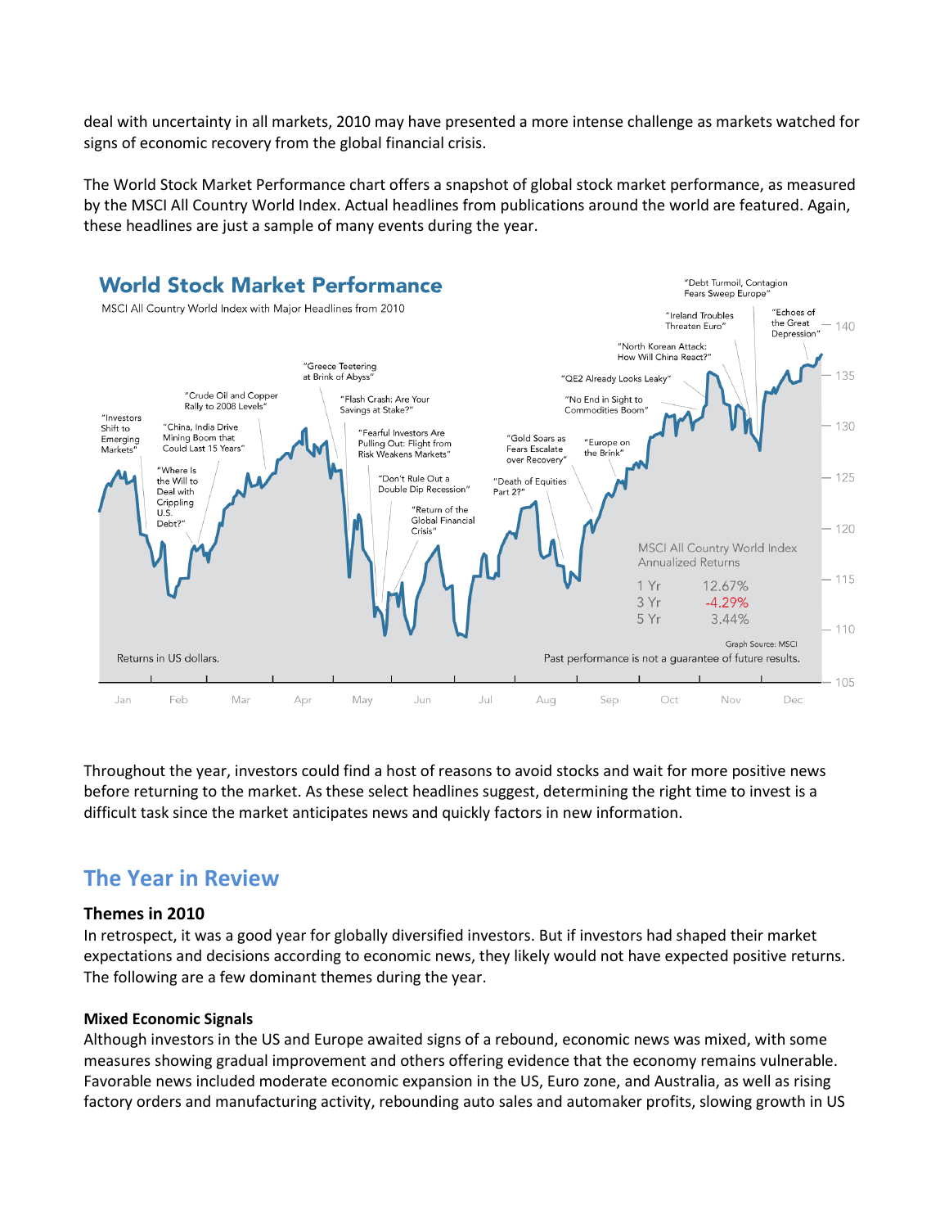deal with uncertainty in all markets, 2010 may have presented a more intense challenge as markets watched for signs of economic recovery from the global financial crisis.

The World Stock Market Performance chart offers a snapshot of global stock market performance, as measured by the MSCI All Country World Index. Actual headlines from publications around the world are featured. Again, these headlines are just a sample of many events during the year.



Throughout the year, investors could find a host of reasons to avoid stocks and wait for more positive news before returning to the market. As these select headlines suggest, determining the right time to invest is a difficult task since the market anticipates news and quickly factors in new information.

# **The Year in Review**

# **Themes in 2010**

In retrospect, it was a good year for globally diversified investors. But if investors had shaped their market expectations and decisions according to economic news, they likely would not have expected positive returns. The following are a few dominant themes during the year.

# **Mixed Economic Signals**

Although investors in the US and Europe awaited signs of a rebound, economic news was mixed, with some measures showing gradual improvement and others offering evidence that the economy remains vulnerable. Favorable news included moderate economic expansion in the US, Euro zone, and Australia, as well as rising factory orders and manufacturing activity, rebounding auto sales and automaker profits, slowing growth in US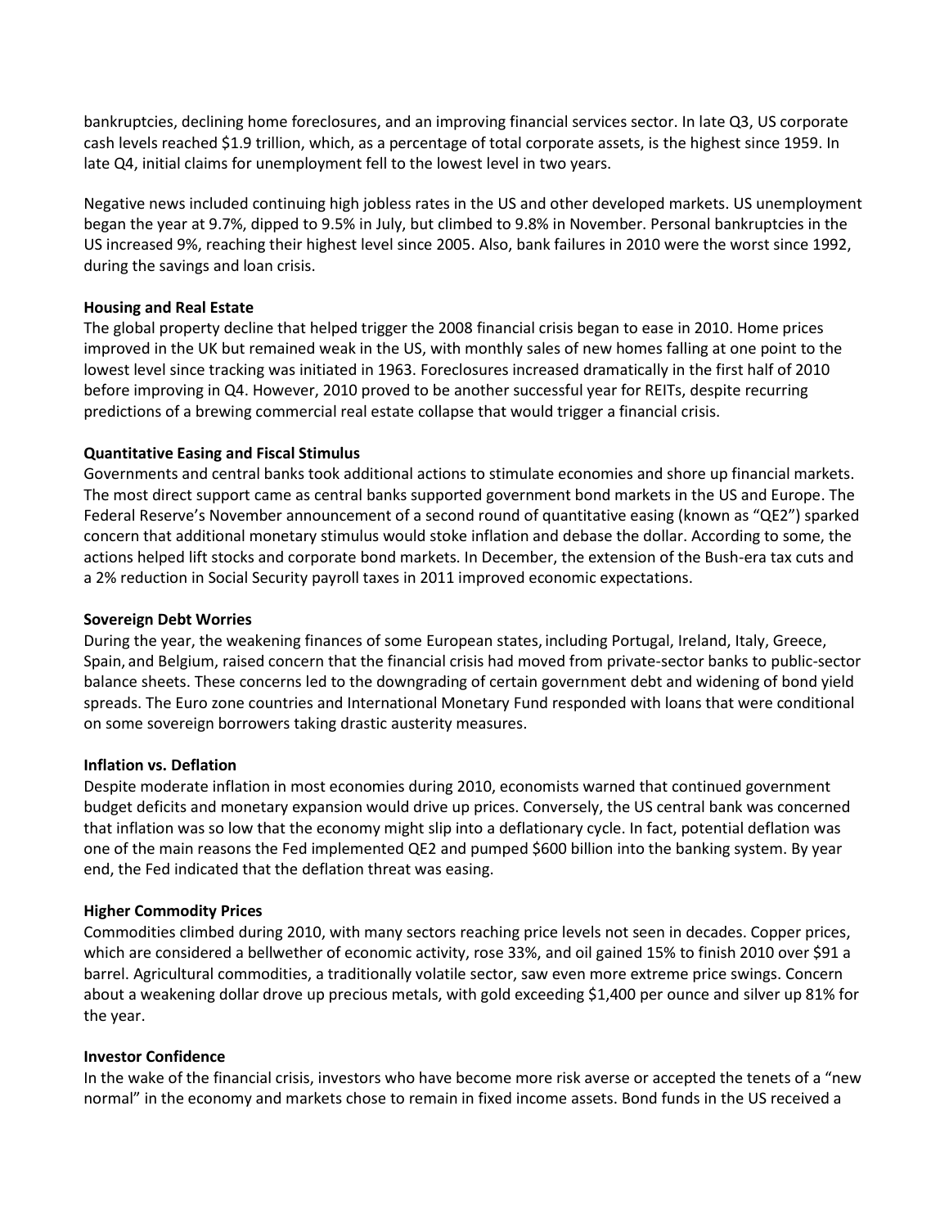bankruptcies, declining home foreclosures, and an improving financial services sector. In late Q3, US corporate cash levels reached \$1.9 trillion, which, as a percentage of total corporate assets, is the highest since 1959. In late Q4, initial claims for unemployment fell to the lowest level in two years.

Negative news included continuing high jobless rates in the US and other developed markets. US unemployment began the year at 9.7%, dipped to 9.5% in July, but climbed to 9.8% in November. Personal bankruptcies in the US increased 9%, reaching their highest level since 2005. Also, bank failures in 2010 were the worst since 1992, during the savings and loan crisis.

## **Housing and Real Estate**

The global property decline that helped trigger the 2008 financial crisis began to ease in 2010. Home prices improved in the UK but remained weak in the US, with monthly sales of new homes falling at one point to the lowest level since tracking was initiated in 1963. Foreclosures increased dramatically in the first half of 2010 before improving in Q4. However, 2010 proved to be another successful year for REITs, despite recurring predictions of a brewing commercial real estate collapse that would trigger a financial crisis.

## **Quantitative Easing and Fiscal Stimulus**

Governments and central banks took additional actions to stimulate economies and shore up financial markets. The most direct support came as central banks supported government bond markets in the US and Europe. The Federal Reserve's November announcement of a second round of quantitative easing (known as "QE2") sparked concern that additional monetary stimulus would stoke inflation and debase the dollar. According to some, the actions helped lift stocks and corporate bond markets. In December, the extension of the Bush-era tax cuts and a 2% reduction in Social Security payroll taxes in 2011 improved economic expectations.

### **Sovereign Debt Worries**

During the year, the weakening finances of some [European](http://en.wikipedia.org/wiki/Europe) states, includin[g Portugal,](http://en.wikipedia.org/wiki/Economy_of_Portugal) [Ireland,](http://en.wikipedia.org/wiki/Economy_of_Ireland) [Italy,](http://en.wikipedia.org/wiki/Economy_of_Italy) [Greece,](http://en.wikipedia.org/wiki/Economy_of_Greece) [Spain,](http://en.wikipedia.org/wiki/Economy_of_Spain) and [Belgium,](http://en.wikipedia.org/wiki/Belgium) raised concern that the financial crisis had moved from private-sector banks to public-sector balance sheets. These concerns led to the downgrading of certain government debt and widening of [bond](http://en.wikipedia.org/wiki/Bond_%28finance%29) [yield](http://en.wikipedia.org/wiki/Yield_spread)  [spreads.](http://en.wikipedia.org/wiki/Yield_spread) The Euro zone countries and International Monetary Fund responded with loans that were conditional on some sovereign borrowers taking drastic austerity measures.

#### **Inflation vs. Deflation**

Despite moderate inflation in most economies during 2010, economists warned that continued government budget deficits and monetary expansion would drive up prices. Conversely, the US central bank was concerned that inflation was so low that the economy might slip into a deflationary cycle. In fact, potential deflation was one of the main reasons the Fed implemented QE2 and pumped \$600 billion into the banking system. By year end, the Fed indicated that the deflation threat was easing.

# **Higher Commodity Prices**

Commodities climbed during 2010, with many sectors reaching price levels not seen in decades. Copper prices, which are considered a bellwether of economic activity, rose 33%, and oil gained 15% to finish 2010 over \$91 a barrel. Agricultural commodities, a traditionally volatile sector, saw even more extreme price swings. Concern about a weakening dollar drove up precious metals, with gold exceeding \$1,400 per ounce and silver up 81% for the year.

#### **Investor Confidence**

In the wake of the financial crisis, investors who have become more risk averse or accepted the tenets of a "new normal" in the economy and markets chose to remain in fixed income assets. Bond funds in the US received a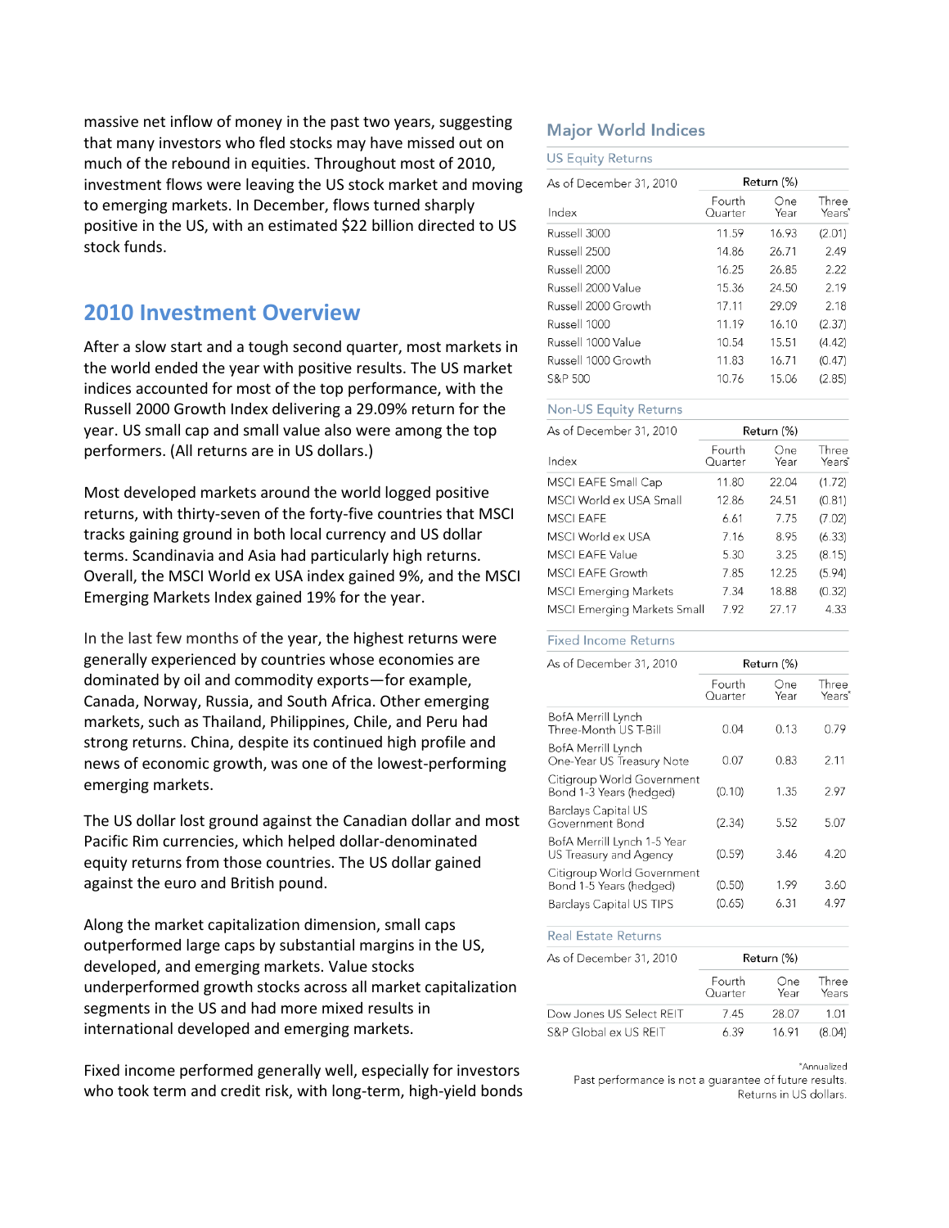massive net inflow of money in the past two years, suggesting that many investors who fled stocks may have missed out on much of the rebound in equities. Throughout most of 2010, investment flows were leaving the US stock market and moving to emerging markets. In December, flows turned sharply positive in the US, with an estimated \$22 billion directed to US stock funds.

# **2010 Investment Overview**

After a slow start and a tough second quarter, most markets in the world ended the year with positive results. The US market indices accounted for most of the top performance, with the Russell 2000 Growth Index delivering a 29.09% return for the year. US small cap and small value also were among the top performers. (All returns are in US dollars.)

Most developed markets around the world logged positive returns, with thirty-seven of the forty-five countries that MSCI tracks gaining ground in both local currency and US dollar terms. Scandinavia and Asia had particularly high returns. Overall, the MSCI World ex USA index gained 9%, and the MSCI Emerging Markets Index gained 19% for the year.

In the last few months of the year, the highest returns were generally experienced by countries whose economies are dominated by oil and commodity exports—for example, Canada, Norway, Russia, and South Africa. Other emerging markets, such as Thailand, Philippines, Chile, and Peru had strong returns. China, despite its continued high profile and news of economic growth, was one of the lowest-performing emerging markets.

The US dollar lost ground against the Canadian dollar and most Pacific Rim currencies, which helped dollar-denominated equity returns from those countries. The US dollar gained against the euro and British pound.

Along the market capitalization dimension, small caps outperformed large caps by substantial margins in the US, developed, and emerging markets. Value stocks underperformed growth stocks across all market capitalization segments in the US and had more mixed results in international developed and emerging markets.

Fixed income performed generally well, especially for investors who took term and credit risk, with long-term, high-yield bonds

# **Major World Indices**

| <b>US Equity Returns</b> |                   |             |                 |
|--------------------------|-------------------|-------------|-----------------|
| As of December 31, 2010  | Return (%)        |             |                 |
| Index                    | Fourth<br>Quarter | One<br>Year | Three<br>Years* |
| Russell 3000             | 11.59             | 16.93       | (2.01)          |
| Russell 2500             | 14.86             | 26.71       | 2.49            |
| Russell 2000             | 16.25             | 26.85       | 2.22            |
| Russell 2000 Value       | 15.36             | 24.50       | 2.19            |
| Russell 2000 Growth      | 17.11             | 29.09       | 2.18            |
| Russell 1000             | 11.19             | 16.10       | (2.37)          |
| Russell 1000 Value       | 10.54             | 15.51       | (4.42)          |
| Russell 1000 Growth      | 11.83             | 16.71       | (0.47)          |
| S&P 500                  | 10.76             | 15.06       | (2.85)          |

#### Non-US Equity Returns

| As of December 31, 2010      | Return (%)        |             |                             |
|------------------------------|-------------------|-------------|-----------------------------|
| Index                        | Fourth<br>Ouarter | One<br>Year | Three<br>Years <sup>*</sup> |
| MSCI EAFE Small Cap          | 11.80             | 22.04       | (1.72)                      |
| MSCI World ex USA Small      | 12.86             | 24.51       | (0.81)                      |
| <b>MSCI FAFF</b>             | 6.61              | 7.75        | (7.02)                      |
| MSCI World ex USA            | 7.16              | 8.95        | (6.33)                      |
| <b>MSCI EAFE Value</b>       | 5.30              | 3.25        | (8.15)                      |
| <b>MSCI EAFE Growth</b>      | 7.85              | 12.25       | (5.94)                      |
| <b>MSCI Emerging Markets</b> | 7.34              | 18.88       | (0.32)                      |
| MSCI Emerging Markets Small  | 7.92              | 27.17       | 4.33                        |

#### **Fixed Income Returns**

| As of December 31, 2010                               | Return (%)        |             |                             |
|-------------------------------------------------------|-------------------|-------------|-----------------------------|
|                                                       | Fourth<br>Quarter | One<br>Year | Three<br>Years <sup>'</sup> |
| BofA Merrill Lynch<br>Three-Month US T-Bill           | 0.04              | 0.13        | 0.79                        |
| BofA Merrill Lynch<br>One-Year US Treasury Note       | 0.07              | 0.83        | 2.11                        |
| Citigroup World Government<br>Bond 1-3 Years (hedged) | (0.10)            | 1.35        | 2.97                        |
| <b>Barclays Capital US</b><br>Government Bond         | (2.34)            | 5.52        | 5.07                        |
| BofA Merrill Lynch 1-5 Year<br>US Treasury and Agency | (0.59)            | 3.46        | 4.20                        |
| Citigroup World Government<br>Bond 1-5 Years (hedged) | (0.50)            | 1.99        | 3.60                        |
| Barclays Capital US TIPS                              | (0.65)            | 6.31        | 4.97                        |

#### **Real Estate Returns**

As of December 31, 2010

|                          | Fourth<br>Quarter | One<br>Year | Three<br>Years |
|--------------------------|-------------------|-------------|----------------|
| Dow Jones US Select REIT | 7.45              | 28.07       | 1.01           |
| S&P Global ex US REIT    | 6.39              | 16.91       | (8.04)         |

\*Annualized

Return (%)

Past performance is not a guarantee of future results. Returns in US dollars.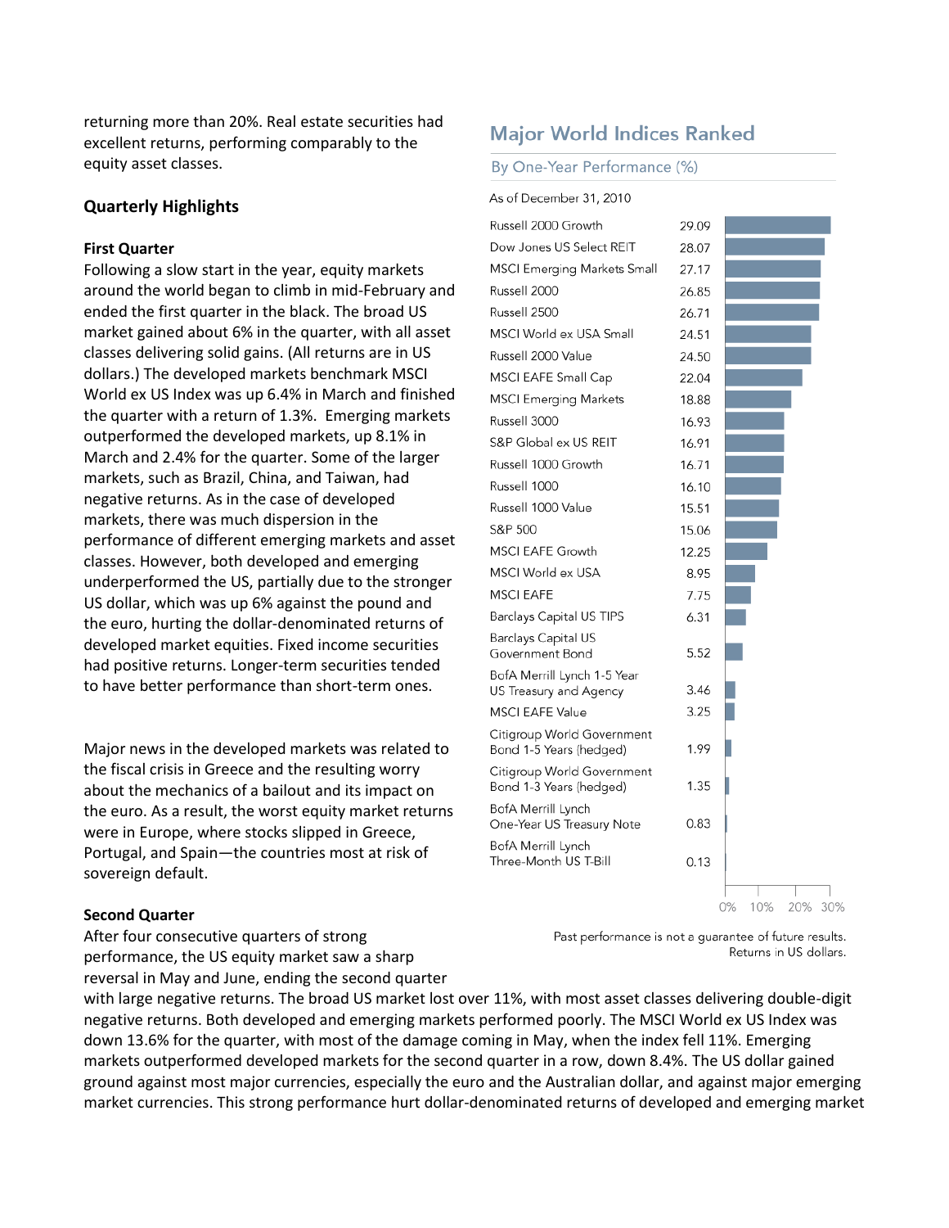returning more than 20%. Real estate securities had excellent returns, performing comparably to the equity asset classes.

## **Quarterly Highlights**

# **First Quarter**

Following a slow start in the year, equity markets around the world began to climb in mid-February and ended the first quarter in the black. The broad US market gained about 6% in the quarter, with all asset classes delivering solid gains. (All returns are in US dollars.) The developed markets benchmark MSCI World ex US Index was up 6.4% in March and finished the quarter with a return of 1.3%. Emerging markets outperformed the developed markets, up 8.1% in March and 2.4% for the quarter. Some of the larger markets, such as Brazil, China, and Taiwan, had negative returns. As in the case of developed markets, there was much dispersion in the performance of different emerging markets and asset classes. However, both developed and emerging underperformed the US, partially due to the stronger US dollar, which was up 6% against the pound and the euro, hurting the dollar-denominated returns of developed market equities. Fixed income securities had positive returns. Longer-term securities tended to have better performance than short-term ones.

Major news in the developed markets was related to the fiscal crisis in Greece and the resulting worry about the mechanics of a bailout and its impact on the euro. As a result, the worst equity market returns were in Europe, where stocks slipped in Greece, Portugal, and Spain—the countries most at risk of sovereign default.

# **Major World Indices Ranked**

#### By One-Year Performance (%)

As of December 31, 2010

| Russell 2000 Growth                                   | 29.09 |                   |
|-------------------------------------------------------|-------|-------------------|
| Dow Jones US Select REIT                              | 28.07 |                   |
| MSCI Emerging Markets Small                           | 27.17 |                   |
| Russell 2000                                          | 26.85 |                   |
| Russell 2500                                          | 26.71 |                   |
| MSCI World ex USA Small                               | 24.51 |                   |
| Russell 2000 Value                                    | 24.50 |                   |
| MSCI EAFE Small Cap                                   | 22.04 |                   |
| <b>MSCI Emerging Markets</b>                          | 18.88 |                   |
| Russell 3000                                          | 16.93 |                   |
| S&P Global ex US REIT                                 | 16.91 |                   |
| Russell 1000 Growth                                   | 16.71 |                   |
| Russell 1000                                          | 16.10 |                   |
| Russell 1000 Value                                    | 15.51 |                   |
| S&P 500                                               | 15.06 |                   |
| <b>MSCI EAFE Growth</b>                               | 12.25 |                   |
| MSCI World ex USA                                     | 8.95  |                   |
| <b>MSCI EAFE</b>                                      | 7.75  |                   |
| Barclays Capital US TIPS                              | 6.31  |                   |
| Barclays Capital US<br>Government Bond                | 5.52  |                   |
| BofA Merrill Lynch 1-5 Year                           |       |                   |
| US Treasury and Agency                                | 3.46  |                   |
| <b>MSCI EAFE Value</b>                                | 3.25  |                   |
| Citigroup World Government<br>Bond 1-5 Years (hedged) | 1.99  |                   |
| Citigroup World Government<br>Bond 1-3 Years (hedged) | 1.35  |                   |
| BofA Merrill Lynch<br>One-Year US Treasury Note       | 0.83  |                   |
| BofA Merrill Lynch<br>Three-Month US T-Bill           | 0.13  |                   |
|                                                       |       | 10% 20% 30%<br>0% |

#### **Second Quarter**

After four consecutive quarters of strong performance, the US equity market saw a sharp reversal in May and June, ending the second quarter Past performance is not a guarantee of future results. Returns in US dollars.

with large negative returns. The broad US market lost over 11%, with most asset classes delivering double-digit negative returns. Both developed and emerging markets performed poorly. The MSCI World ex US Index was down 13.6% for the quarter, with most of the damage coming in May, when the index fell 11%. Emerging markets outperformed developed markets for the second quarter in a row, down 8.4%. The US dollar gained ground against most major currencies, especially the euro and the Australian dollar, and against major emerging market currencies. This strong performance hurt dollar-denominated returns of developed and emerging market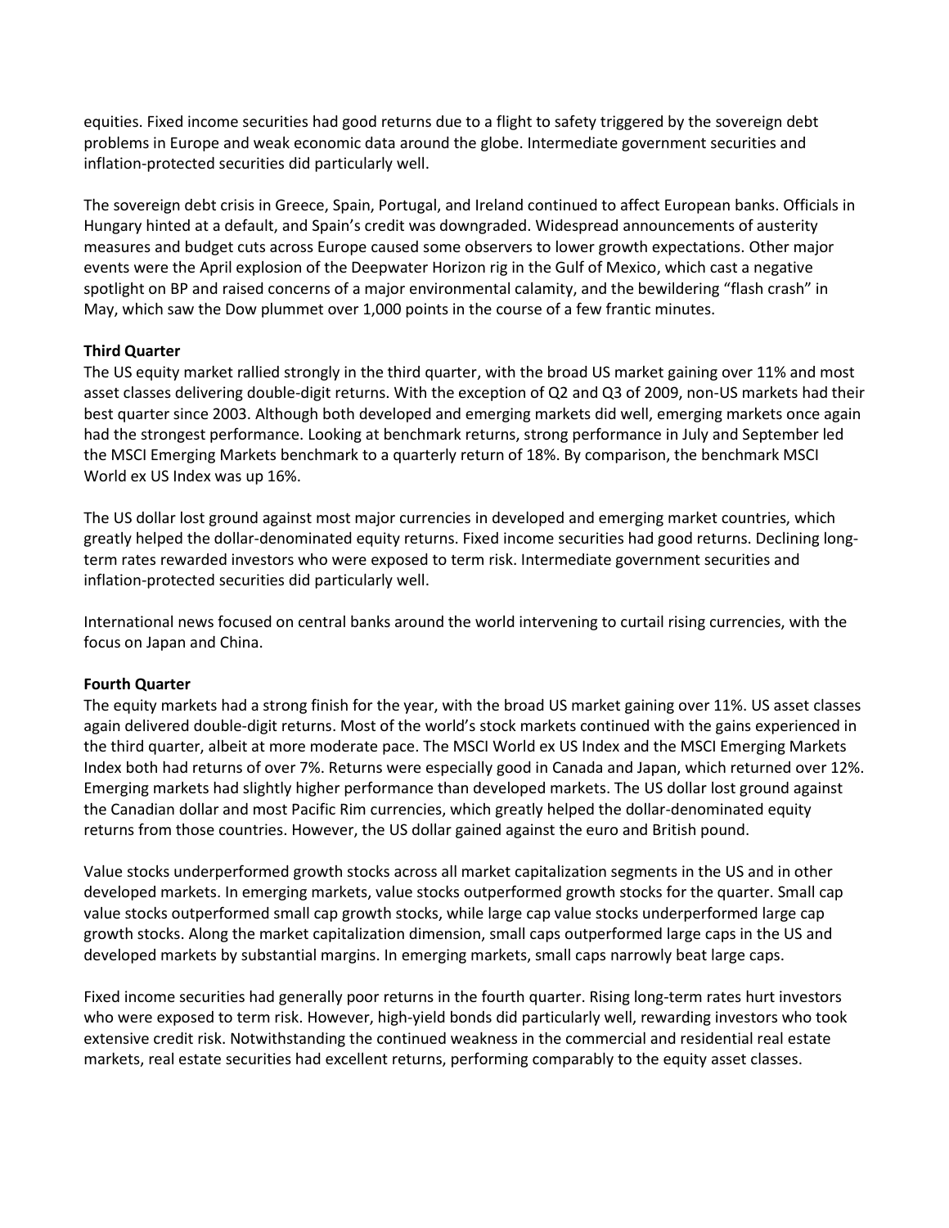equities. Fixed income securities had good returns due to a flight to safety triggered by the sovereign debt problems in Europe and weak economic data around the globe. Intermediate government securities and inflation-protected securities did particularly well.

The sovereign debt crisis in Greece, Spain, Portugal, and Ireland continued to affect European banks. Officials in Hungary hinted at a default, and Spain's credit was downgraded. Widespread announcements of austerity measures and budget cuts across Europe caused some observers to lower growth expectations. Other major events were the April explosion of the Deepwater Horizon rig in the Gulf of Mexico, which cast a negative spotlight on BP and raised concerns of a major environmental calamity, and the bewildering "flash crash" in May, which saw the Dow plummet over 1,000 points in the course of a few frantic minutes.

# **Third Quarter**

The US equity market rallied strongly in the third quarter, with the broad US market gaining over 11% and most asset classes delivering double-digit returns. With the exception of Q2 and Q3 of 2009, non-US markets had their best quarter since 2003. Although both developed and emerging markets did well, emerging markets once again had the strongest performance. Looking at benchmark returns, strong performance in July and September led the MSCI Emerging Markets benchmark to a quarterly return of 18%. By comparison, the benchmark MSCI World ex US Index was up 16%.

The US dollar lost ground against most major currencies in developed and emerging market countries, which greatly helped the dollar-denominated equity returns. Fixed income securities had good returns. Declining longterm rates rewarded investors who were exposed to term risk. Intermediate government securities and inflation-protected securities did particularly well.

International news focused on central banks around the world intervening to curtail rising currencies, with the focus on Japan and China.

# **Fourth Quarter**

The equity markets had a strong finish for the year, with the broad US market gaining over 11%. US asset classes again delivered double-digit returns. Most of the world's stock markets continued with the gains experienced in the third quarter, albeit at more moderate pace. The MSCI World ex US Index and the MSCI Emerging Markets Index both had returns of over 7%. Returns were especially good in Canada and Japan, which returned over 12%. Emerging markets had slightly higher performance than developed markets. The US dollar lost ground against the Canadian dollar and most Pacific Rim currencies, which greatly helped the dollar-denominated equity returns from those countries. However, the US dollar gained against the euro and British pound.

Value stocks underperformed growth stocks across all market capitalization segments in the US and in other developed markets. In emerging markets, value stocks outperformed growth stocks for the quarter. Small cap value stocks outperformed small cap growth stocks, while large cap value stocks underperformed large cap growth stocks. Along the market capitalization dimension, small caps outperformed large caps in the US and developed markets by substantial margins. In emerging markets, small caps narrowly beat large caps.

Fixed income securities had generally poor returns in the fourth quarter. Rising long-term rates hurt investors who were exposed to term risk. However, high-yield bonds did particularly well, rewarding investors who took extensive credit risk. Notwithstanding the continued weakness in the commercial and residential real estate markets, real estate securities had excellent returns, performing comparably to the equity asset classes.